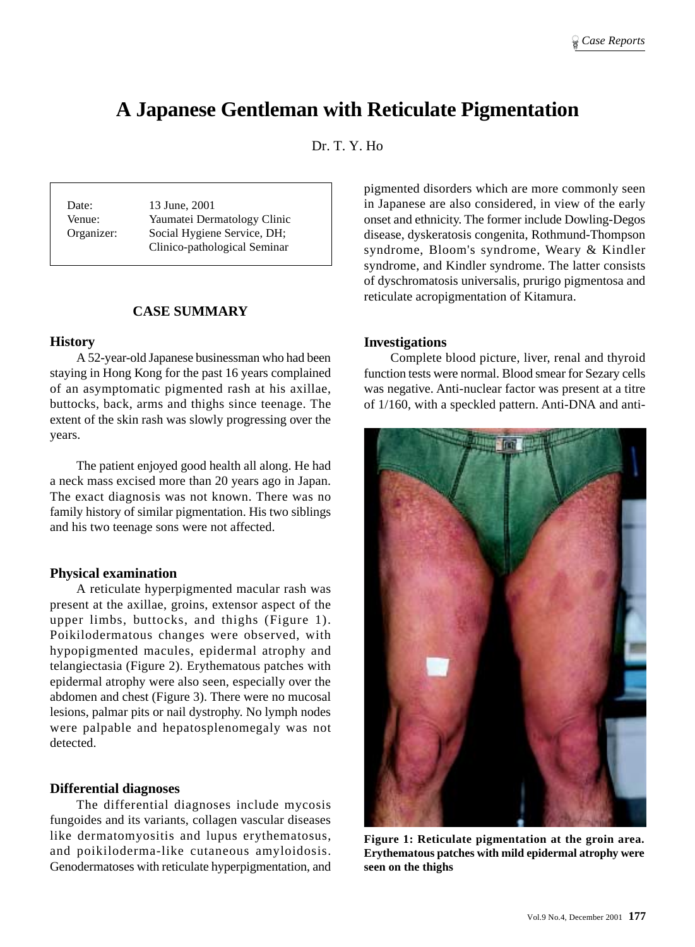# **A Japanese Gentleman with Reticulate Pigmentation**

Dr. T. Y. Ho

Date: 13 June, 2001 Venue: Yaumatei Dermatology Clinic Organizer: Social Hygiene Service, DH; Clinico-pathological Seminar

# **CASE SUMMARY**

## **History**

A 52-year-old Japanese businessman who had been staying in Hong Kong for the past 16 years complained of an asymptomatic pigmented rash at his axillae, buttocks, back, arms and thighs since teenage. The extent of the skin rash was slowly progressing over the years.

The patient enjoyed good health all along. He had a neck mass excised more than 20 years ago in Japan. The exact diagnosis was not known. There was no family history of similar pigmentation. His two siblings and his two teenage sons were not affected.

# **Physical examination**

A reticulate hyperpigmented macular rash was present at the axillae, groins, extensor aspect of the upper limbs, buttocks, and thighs (Figure 1). Poikilodermatous changes were observed, with hypopigmented macules, epidermal atrophy and telangiectasia (Figure 2). Erythematous patches with epidermal atrophy were also seen, especially over the abdomen and chest (Figure 3). There were no mucosal lesions, palmar pits or nail dystrophy. No lymph nodes were palpable and hepatosplenomegaly was not detected.

### **Differential diagnoses**

The differential diagnoses include mycosis fungoides and its variants, collagen vascular diseases like dermatomyositis and lupus erythematosus, and poikiloderma-like cutaneous amyloidosis. Genodermatoses with reticulate hyperpigmentation, and

pigmented disorders which are more commonly seen in Japanese are also considered, in view of the early onset and ethnicity. The former include Dowling-Degos disease, dyskeratosis congenita, Rothmund-Thompson syndrome, Bloom's syndrome, Weary & Kindler syndrome, and Kindler syndrome. The latter consists of dyschromatosis universalis, prurigo pigmentosa and reticulate acropigmentation of Kitamura.

## **Investigations**

Complete blood picture, liver, renal and thyroid function tests were normal. Blood smear for Sezary cells was negative. Anti-nuclear factor was present at a titre of 1/160, with a speckled pattern. Anti-DNA and anti-



**Figure 1: Reticulate pigmentation at the groin area. Erythematous patches with mild epidermal atrophy were seen on the thighs**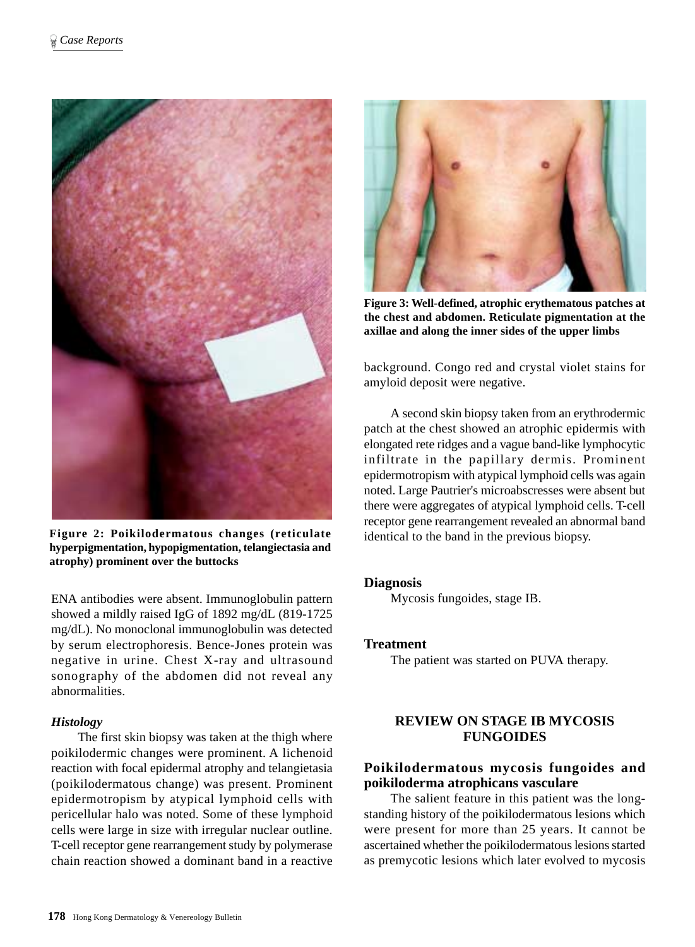

**Figure 2: Poikilodermatous changes (reticulate hyperpigmentation, hypopigmentation, telangiectasia and atrophy) prominent over the buttocks**

ENA antibodies were absent. Immunoglobulin pattern showed a mildly raised IgG of 1892 mg/dL (819-1725 mg/dL). No monoclonal immunoglobulin was detected by serum electrophoresis. Bence-Jones protein was negative in urine. Chest X-ray and ultrasound sonography of the abdomen did not reveal any abnormalities.

# *Histology*

The first skin biopsy was taken at the thigh where poikilodermic changes were prominent. A lichenoid reaction with focal epidermal atrophy and telangietasia (poikilodermatous change) was present. Prominent epidermotropism by atypical lymphoid cells with pericellular halo was noted. Some of these lymphoid cells were large in size with irregular nuclear outline. T-cell receptor gene rearrangement study by polymerase chain reaction showed a dominant band in a reactive



**Figure 3: Well-defined, atrophic erythematous patches at the chest and abdomen. Reticulate pigmentation at the axillae and along the inner sides of the upper limbs**

background. Congo red and crystal violet stains for amyloid deposit were negative.

A second skin biopsy taken from an erythrodermic patch at the chest showed an atrophic epidermis with elongated rete ridges and a vague band-like lymphocytic infiltrate in the papillary dermis. Prominent epidermotropism with atypical lymphoid cells was again noted. Large Pautrier's microabscresses were absent but there were aggregates of atypical lymphoid cells. T-cell receptor gene rearrangement revealed an abnormal band identical to the band in the previous biopsy.

### **Diagnosis**

Mycosis fungoides, stage IB.

### **Treatment**

The patient was started on PUVA therapy.

# **REVIEW ON STAGE IB MYCOSIS FUNGOIDES**

# **Poikilodermatous mycosis fungoides and poikiloderma atrophicans vasculare**

The salient feature in this patient was the longstanding history of the poikilodermatous lesions which were present for more than 25 years. It cannot be ascertained whether the poikilodermatous lesions started as premycotic lesions which later evolved to mycosis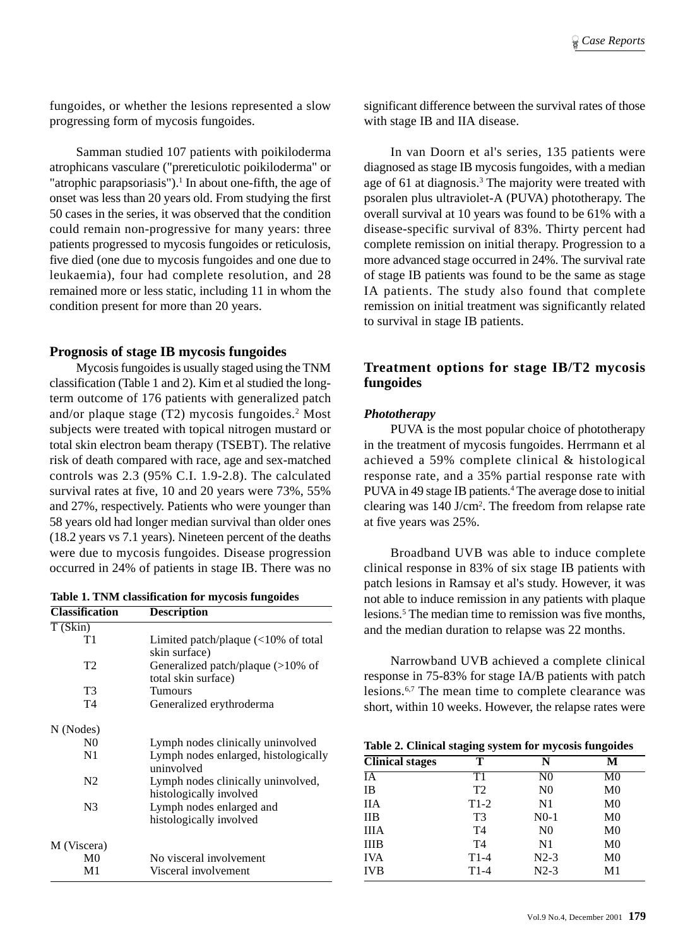fungoides, or whether the lesions represented a slow progressing form of mycosis fungoides.

Samman studied 107 patients with poikiloderma atrophicans vasculare ("prereticulotic poikiloderma" or "atrophic parapsoriasis"). $<sup>1</sup>$  In about one-fifth, the age of</sup> onset was less than 20 years old. From studying the first 50 cases in the series, it was observed that the condition could remain non-progressive for many years: three patients progressed to mycosis fungoides or reticulosis, five died (one due to mycosis fungoides and one due to leukaemia), four had complete resolution, and 28 remained more or less static, including 11 in whom the condition present for more than 20 years.

# **Prognosis of stage IB mycosis fungoides**

Mycosis fungoides is usually staged using the TNM classification (Table 1 and 2). Kim et al studied the longterm outcome of 176 patients with generalized patch and/or plaque stage (T2) mycosis fungoides.2 Most subjects were treated with topical nitrogen mustard or total skin electron beam therapy (TSEBT). The relative risk of death compared with race, age and sex-matched controls was 2.3 (95% C.I. 1.9-2.8). The calculated survival rates at five, 10 and 20 years were 73%, 55% and 27%, respectively. Patients who were younger than 58 years old had longer median survival than older ones (18.2 years vs 7.1 years). Nineteen percent of the deaths were due to mycosis fungoides. Disease progression occurred in 24% of patients in stage IB. There was no

**Table 1. TNM classification for mycosis fungoides Classification Description**

| T(Skin)        |                                                               |  |  |
|----------------|---------------------------------------------------------------|--|--|
| T1             | Limited patch/plaque $\left($ < 10% of total<br>skin surface) |  |  |
| T <sub>2</sub> | Generalized patch/plaque (>10% of<br>total skin surface)      |  |  |
| T3             | Tumours                                                       |  |  |
| T4             | Generalized erythroderma                                      |  |  |
| N (Nodes)      |                                                               |  |  |
| N <sub>0</sub> | Lymph nodes clinically uninvolved                             |  |  |
| N1             | Lymph nodes enlarged, histologically<br>uninvolved            |  |  |
| N <sub>2</sub> | Lymph nodes clinically uninvolved,<br>histologically involved |  |  |
| N <sub>3</sub> | Lymph nodes enlarged and<br>histologically involved           |  |  |
| M (Viscera)    |                                                               |  |  |
| M <sub>0</sub> | No visceral involvement                                       |  |  |
| M1             | Visceral involvement                                          |  |  |
|                |                                                               |  |  |

significant difference between the survival rates of those with stage IB and IIA disease.

In van Doorn et al's series, 135 patients were diagnosed as stage IB mycosis fungoides, with a median age of 61 at diagnosis.<sup>3</sup> The majority were treated with psoralen plus ultraviolet-A (PUVA) phototherapy. The overall survival at 10 years was found to be 61% with a disease-specific survival of 83%. Thirty percent had complete remission on initial therapy. Progression to a more advanced stage occurred in 24%. The survival rate of stage IB patients was found to be the same as stage IA patients. The study also found that complete remission on initial treatment was significantly related to survival in stage IB patients.

# **Treatment options for stage IB/T2 mycosis fungoides**

# *Phototherapy*

PUVA is the most popular choice of phototherapy in the treatment of mycosis fungoides. Herrmann et al achieved a 59% complete clinical & histological response rate, and a 35% partial response rate with PUVA in 49 stage IB patients.<sup>4</sup> The average dose to initial clearing was 140 J/cm2 . The freedom from relapse rate at five years was 25%.

Broadband UVB was able to induce complete clinical response in 83% of six stage IB patients with patch lesions in Ramsay et al's study. However, it was not able to induce remission in any patients with plaque lesions.5 The median time to remission was five months, and the median duration to relapse was 22 months.

Narrowband UVB achieved a complete clinical response in 75-83% for stage IA/B patients with patch lesions.6,7 The mean time to complete clearance was short, within 10 weeks. However, the relapse rates were

| Table 2. Clinical staging system for mycosis fungoides |  |  |  |
|--------------------------------------------------------|--|--|--|
|--------------------------------------------------------|--|--|--|

| <b>Clinical stages</b> | т              | N              | М              |
|------------------------|----------------|----------------|----------------|
| IA                     | T1             | N <sub>0</sub> | M <sub>0</sub> |
| <b>IB</b>              | T <sub>2</sub> | N <sub>0</sub> | M <sub>0</sub> |
| <b>IIA</b>             | $T1-2$         | N1             | M <sub>0</sub> |
| $_{\text{IIB}}$        | T <sub>3</sub> | $N0-1$         | $_{\rm M0}$    |
| <b>IIIA</b>            | T <sub>4</sub> | N <sub>0</sub> | M <sub>0</sub> |
| <b>IIIB</b>            | T <sub>4</sub> | N1             | M <sub>0</sub> |
| <b>IVA</b>             | $T1-4$         | $N2-3$         | M <sub>0</sub> |
| <b>IVB</b>             | $T1-4$         | $N2-3$         | M1             |